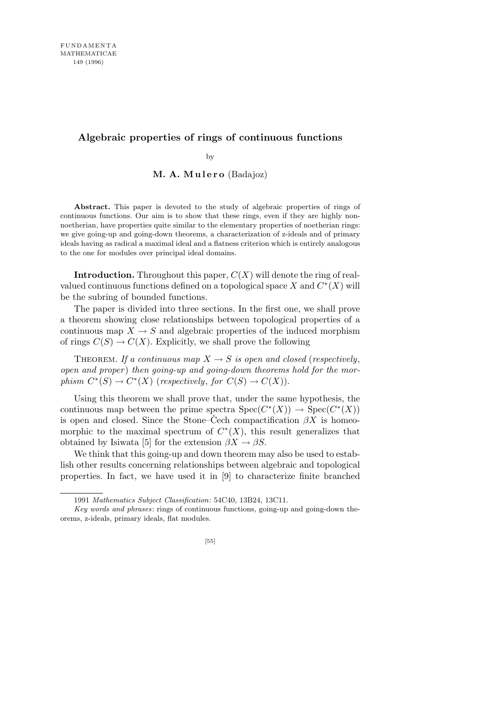## **Algebraic properties of rings of continuous functions**

by

## **M. A. M u l e r o** (Badajoz)

Abstract. This paper is devoted to the study of algebraic properties of rings of continuous functions. Our aim is to show that these rings, even if they are highly nonnoetherian, have properties quite similar to the elementary properties of noetherian rings: we give going-up and going-down theorems, a characterization of z-ideals and of primary ideals having as radical a maximal ideal and a flatness criterion which is entirely analogous to the one for modules over principal ideal domains.

**Introduction.** Throughout this paper,  $C(X)$  will denote the ring of realvalued continuous functions defined on a topological space  $X$  and  $C^*(X)$  will be the subring of bounded functions.

The paper is divided into three sections. In the first one, we shall prove a theorem showing close relationships between topological properties of a continuous map  $X \to S$  and algebraic properties of the induced morphism of rings  $C(S) \to C(X)$ . Explicitly, we shall prove the following

THEOREM. If a continuous map  $X \rightarrow S$  is open and closed (respectively, *open and proper* ) *then going-up and going-down theorems hold for the morphism*  $C^*(S) \to C^*(X)$  (*respectively*, *for*  $C(S) \to C(X)$ ).

Using this theorem we shall prove that, under the same hypothesis, the continuous map between the prime spectra  $Spec(C^*(X)) \to Spec(C^*(X))$ is open and closed. Since the Stone–Cech compactification  $\beta X$  is homeomorphic to the maximal spectrum of  $C^*(X)$ , this result generalizes that obtained by Isiwata [5] for the extension  $\beta X \rightarrow \beta S$ .

We think that this going-up and down theorem may also be used to establish other results concerning relationships between algebraic and topological properties. In fact, we have used it in [9] to characterize finite branched

<sup>1991</sup> *Mathematics Subject Classification*: 54C40, 13B24, 13C11.

*Key words and phrases*: rings of continuous functions, going-up and going-down theorems, z-ideals, primary ideals, flat modules.

<sup>[55]</sup>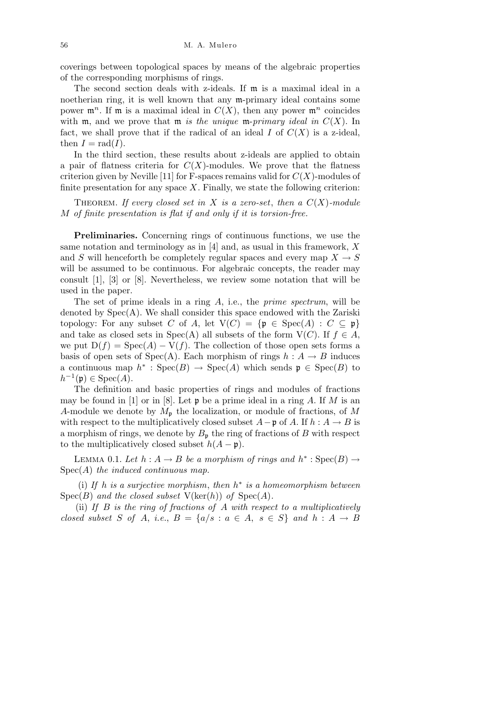coverings between topological spaces by means of the algebraic properties of the corresponding morphisms of rings.

The second section deals with z-ideals. If m is a maximal ideal in a noetherian ring, it is well known that any m-primary ideal contains some power  $\mathfrak{m}^n$ . If  $\mathfrak{m}$  is a maximal ideal in  $C(X)$ , then any power  $\mathfrak{m}^n$  coincides with m, and we prove that m *is the unique* m-*primary ideal in*  $C(X)$ . In fact, we shall prove that if the radical of an ideal  $I$  of  $C(X)$  is a z-ideal, then  $I = rad(I)$ .

In the third section, these results about z-ideals are applied to obtain a pair of flatness criteria for  $C(X)$ -modules. We prove that the flatness criterion given by Neville [11] for F-spaces remains valid for *C*(*X*)-modules of finite presentation for any space  $X$ . Finally, we state the following criterion:

THEOREM. If every closed set in X is a zero-set, then a  $C(X)$ -module *M of finite presentation is flat if and only if it is torsion-free.*

**Preliminaries.** Concerning rings of continuous functions, we use the same notation and terminology as in [4] and, as usual in this framework, *X* and *S* will henceforth be completely regular spaces and every map  $X \to S$ will be assumed to be continuous. For algebraic concepts, the reader may consult [1], [3] or [8]. Nevertheless, we review some notation that will be used in the paper.

The set of prime ideals in a ring *A*, i.e., the *prime spectrum*, will be denoted by  $Spec(A)$ . We shall consider this space endowed with the Zariski topology: For any subset *C* of *A*, let  $V(C) = \{ \mathfrak{p} \in \text{Spec}(A) : C \subseteq \mathfrak{p} \}$ and take as closed sets in  $Spec(A)$  all subsets of the form  $V(C)$ . If  $f \in A$ , we put  $D(f) = Spec(A) - V(f)$ . The collection of those open sets forms a basis of open sets of  $Spec(A)$ . Each morphism of rings  $h : A \rightarrow B$  induces a continuous map  $h^*$ :  $Spec(B) \to Spec(A)$  which sends  $\mathfrak{p} \in Spec(B)$  to  $h^{-1}(\mathfrak{p}) \in \text{Spec}(A).$ 

The definition and basic properties of rings and modules of fractions may be found in [1] or in [8]. Let p be a prime ideal in a ring *A*. If *M* is an *A*-module we denote by *M*<sup>p</sup> the localization, or module of fractions, of *M* with respect to the multiplicatively closed subset  $A$ − $\mathfrak{p}$  of *A*. If  $h : A \rightarrow B$  is a morphism of rings, we denote by  $B_p$  the ring of fractions of *B* with respect to the multiplicatively closed subset  $h(A - \mathfrak{p})$ .

LEMMA 0.1. Let  $h: A \to B$  be a morphism of rings and  $h^*: Spec(B) \to$ Spec(*A*) *the induced continuous map.*

(i) *If h is a surjective morphism*, *then h ∗ is a homeomorphism between*  $Spec(B)$  *and the closed subset*  $V(ker(h))$  *of*  $Spec(A)$ *.* 

(ii) *If B is the ring of fractions of A with respect to a multiplicatively closed subset S of A*, *i.e.*,  $B = \{a/s : a \in A, s \in S\}$  *and*  $h : A \rightarrow B$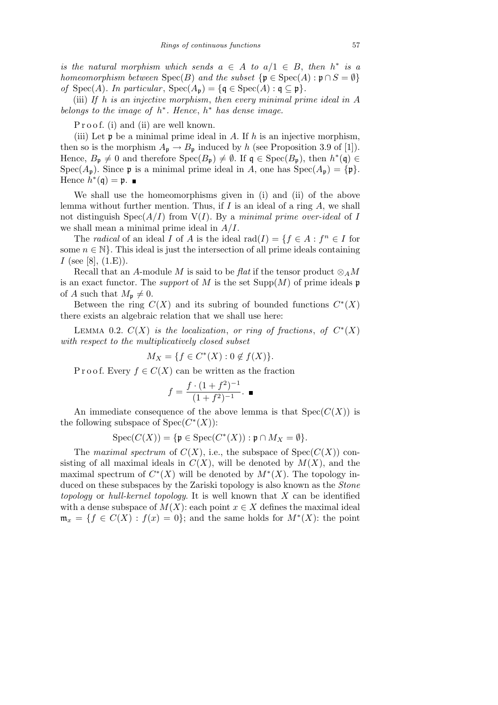*is the natural morphism which sends*  $a \in A$  *to*  $a/1 \in B$ , *then*  $h^*$  *is* a *homeomorphism between*  $Spec(B)$  *and the subset*  $\{ \mathfrak{p} \in Spec(A) : \mathfrak{p} \cap S = \emptyset \}$ *of*  $Spec(A)$ *. In particular*,  $Spec(A_p) = \{ \mathfrak{q} \in Spec(A) : \mathfrak{q} \subseteq \mathfrak{p} \}.$ 

(iii) *If h is an injective morphism*, *then every minimal prime ideal in A belongs to the image of h ∗ . Hence*, *h ∗ has dense image.*

P r o o f. (i) and (ii) are well known.

(iii) Let p be a minimal prime ideal in *A*. If *h* is an injective morphism, then so is the morphism  $A_{\mathfrak{p}} \to B_{\mathfrak{p}}$  induced by *h* (see Proposition 3.9 of [1]). Hence,  $B_{\mathfrak{p}} \neq 0$  and therefore  $Spec(B_{\mathfrak{p}}) \neq \emptyset$ . If  $\mathfrak{q} \in Spec(B_{\mathfrak{p}})$ , then  $h^*(\mathfrak{q}) \in$ Spec( $A_p$ ). Since p is a minimal prime ideal in *A*, one has  $Spec(A_p) = \{p\}$ . Hence  $h^*(q) = p$ .

We shall use the homeomorphisms given in (i) and (ii) of the above lemma without further mention. Thus, if *I* is an ideal of a ring *A*, we shall not distinguish Spec(*A/I*) from V(*I*). By a *minimal prime over-ideal* of *I* we shall mean a minimal prime ideal in *A/I*.

The *radical* of an ideal *I* of *A* is the ideal  $rad(I) = \{f \in A : f^n \in I \text{ for } I \in I\}$ some  $n \in \mathbb{N}$ . This ideal is just the intersection of all prime ideals containing *I* (see [8], (1.E)).

Recall that an *A*-module *M* is said to be *flat* if the tensor product  $\otimes_A M$ is an exact functor. The *support* of *M* is the set  $\text{Supp}(M)$  of prime ideals **p** of *A* such that  $M_{\mathfrak{p}} \neq 0$ .

Between the ring  $C(X)$  and its subring of bounded functions  $C^*(X)$ there exists an algebraic relation that we shall use here:

LEMMA 0.2.  $C(X)$  *is the localization, or ring of fractions, of*  $C^*(X)$ *with respect to the multiplicatively closed subset*

$$
M_X = \{ f \in C^*(X) : 0 \notin f(X) \}.
$$

P r o o f. Every  $f \in C(X)$  can be written as the fraction

$$
f = \frac{f \cdot (1 + f^2)^{-1}}{(1 + f^2)^{-1}}.
$$

An immediate consequence of the above lemma is that  $Spec(C(X))$  is the following subspace of  $Spec(C^*(X))$ :

$$
\operatorname{Spec}(C(X)) = \{ \mathfrak{p} \in \operatorname{Spec}(C^*(X)) : \mathfrak{p} \cap M_X = \emptyset \}.
$$

The *maximal spectrum* of  $C(X)$ , i.e., the subspace of  $Spec(C(X))$  consisting of all maximal ideals in  $C(X)$ , will be denoted by  $M(X)$ , and the maximal spectrum of  $C^*(X)$  will be denoted by  $M^*(X)$ . The topology induced on these subspaces by the Zariski topology is also known as the *Stone topology* or *hull-kernel topology*. It is well known that *X* can be identified with a dense subspace of  $M(X)$ : each point  $x \in X$  defines the maximal ideal  $\mathfrak{m}_x = \{ f \in C(X) : f(x) = 0 \}$ ; and the same holds for  $M^*(X)$ : the point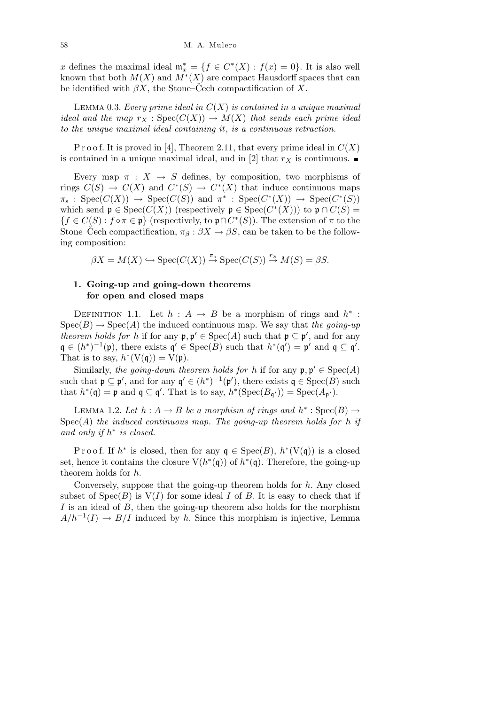*x* defines the maximal ideal  $\mathfrak{m}_x^* = \{f \in C^*(X) : f(x) = 0\}$ . It is also well known that both  $M(X)$  and  $M^*(X)$  are compact Hausdorff spaces that can be identified with  $\beta X$ , the Stone–Cech compactification of X.

Lemma 0.3. *Every prime ideal in C*(*X*) *is contained in a unique maximal ideal and the map*  $r_X$  :  $Spec(C(X)) \rightarrow M(X)$  *that sends each prime ideal to the unique maximal ideal containing it*, *is a continuous retraction.*

P r o o f. It is proved in [4], Theorem 2.11, that every prime ideal in  $C(X)$ is contained in a unique maximal ideal, and in [2] that  $r_X$  is continuous.

Every map  $\pi$  :  $X \rightarrow S$  defines, by composition, two morphisms of rings  $C(S) \rightarrow C(X)$  and  $C^*(S) \rightarrow C^*(X)$  that induce continuous maps  $\pi_s$  : Spec( $C(X)$ )  $\rightarrow$  Spec( $C(S)$ ) and  $\pi^*$  : Spec( $C^*(X)$ )  $\rightarrow$  Spec( $C^*(S)$ ) which send  $\mathfrak{p} \in \text{Spec}(C(X))$  (respectively  $\mathfrak{p} \in \text{Spec}(C^*(X))$ ) to  $\mathfrak{p} \cap C(S) =$  ${f \in C(S) : f \circ \pi \in \mathfrak{p}}$  (respectively, to  $\mathfrak{p} \cap C^*(S)$ ). The extension of  $\pi$  to the Stone–Cech compactification,  $\pi_{\beta}: \beta X \to \beta S$ , can be taken to be the following composition:

 $\beta X = M(X) \hookrightarrow \text{Spec}(C(X)) \stackrel{\pi_s}{\rightarrow} \text{Spec}(C(S)) \stackrel{r_S}{\rightarrow} M(S) = \beta S.$ 

## **1. Going-up and going-down theorems for open and closed maps**

DEFINITION 1.1. Let  $h : A \rightarrow B$  be a morphism of rings and  $h^*$ :  $Spec(B) \rightarrow Spec(A)$  the induced continuous map. We say that *the going-up theorem holds for h* if for any  $\mathfrak{p}, \mathfrak{p}' \in \text{Spec}(A)$  such that  $\mathfrak{p} \subseteq \mathfrak{p}'$ , and for any  $\mathfrak{q} \in (h^*)^{-1}(\mathfrak{p})$ , there exists  $\mathfrak{q}' \in \text{Spec}(B)$  such that  $h^*(\mathfrak{q}') = \mathfrak{p}'$  and  $\mathfrak{q} \subseteq \mathfrak{q}'$ . That is to say,  $h^*(V(q)) = V(p)$ .

Similarly, *the going-down theorem holds for h* if for any  $\mathfrak{p}, \mathfrak{p}' \in \text{Spec}(A)$ such that  $\mathfrak{p} \subseteq \mathfrak{p}'$ , and for any  $\mathfrak{q}' \in (h^*)^{-1}(\mathfrak{p}')$ , there exists  $\mathfrak{q} \in \text{Spec}(B)$  such that  $h^*(\mathfrak{q}) = \mathfrak{p}$  and  $\mathfrak{q} \subseteq \mathfrak{q}'$ . That is to say,  $h^*(\text{Spec}(B_{\mathfrak{q}'})) = \text{Spec}(A_{\mathfrak{p}'}).$ 

LEMMA 1.2. Let  $h: A \to B$  be a morphism of rings and  $h^*: Spec(B) \to$ Spec(*A*) *the induced continuous map. The going-up theorem holds for h if and only if h ∗ is closed.*

Proof. If  $h^*$  is closed, then for any  $\mathfrak{q} \in \text{Spec}(B)$ ,  $h^*(V(\mathfrak{q}))$  is a closed set, hence it contains the closure  $V(h^*(q))$  of  $h^*(q)$ . Therefore, the going-up theorem holds for *h*.

Conversely, suppose that the going-up theorem holds for *h*. Any closed subset of  $Spec(B)$  is  $V(I)$  for some ideal *I* of *B*. It is easy to check that if *I* is an ideal of *B*, then the going-up theorem also holds for the morphism  $A/h^{-1}(I) \rightarrow B/I$  induced by *h*. Since this morphism is injective, Lemma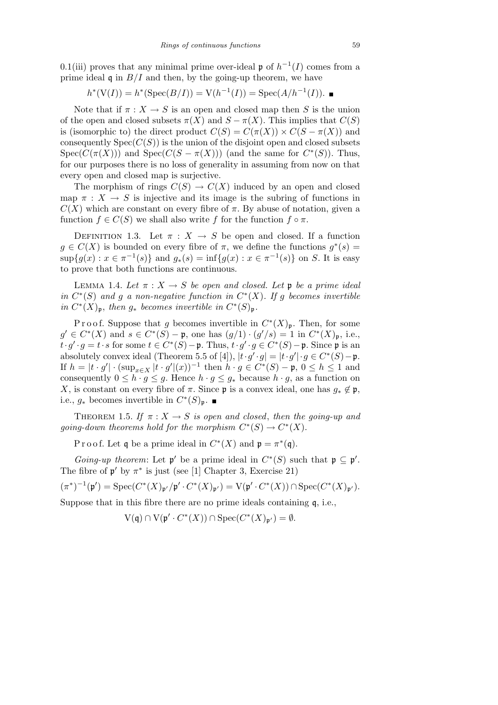0.1(iii) proves that any minimal prime over-ideal  $\mathfrak{p}$  of  $h^{-1}(I)$  comes from a prime ideal  $\mathfrak q$  in  $B/I$  and then, by the going-up theorem, we have

$$
h^*(V(I)) = h^*(Spec(B/I)) = V(h^{-1}(I)) = Spec(A/h^{-1}(I)).
$$

Note that if  $\pi : X \to S$  is an open and closed map then S is the union of the open and closed subsets  $\pi(X)$  and  $S - \pi(X)$ . This implies that  $C(S)$ is (isomorphic to) the direct product  $C(S) = C(\pi(X)) \times C(S - \pi(X))$  and consequently  $Spec(C(S))$  is the union of the disjoint open and closed subsets  $Spec(C(\pi(X)))$  and  $Spec(C(S - \pi(X)))$  (and the same for  $C^*(S)$ ). Thus, for our purposes there is no loss of generality in assuming from now on that every open and closed map is surjective.

The morphism of rings  $C(S) \rightarrow C(X)$  induced by an open and closed map  $\pi : X \to S$  is injective and its image is the subring of functions in *C*(*X*) which are constant on every fibre of *π*. By abuse of notation, given a function  $f \in C(S)$  we shall also write *f* for the function  $f \circ \pi$ .

DEFINITION 1.3. Let  $\pi$  :  $X \to S$  be open and closed. If a function  $g \in C(X)$  is bounded on every fibre of  $\pi$ , we define the functions  $g^*(s) =$  $\sup\{g(x) : x \in \pi^{-1}(s)\}\$ and  $g_*(s) = \inf\{g(x) : x \in \pi^{-1}(s)\}\$ on S. It is easy to prove that both functions are continuous.

LEMMA 1.4. Let  $\pi$  :  $X \rightarrow S$  be open and closed. Let  $\mathfrak p$  be a prime ideal *in*  $C^*(S)$  *and g a non-negative function in*  $C^*(X)$ *. If g becomes invertible in*  $C^*(X)_{\mathfrak{p}}$ *, then*  $g_*$  *becomes invertible in*  $C^*(S)_{\mathfrak{p}}$ *.* 

P r o o f. Suppose that *g* becomes invertible in  $C^*(X)_{\mathfrak{p}}$ . Then, for some  $g' \in C^*(X)$  and  $s \in C^*(S) - \mathfrak{p}$ , one has  $(g/1) \cdot (g'/s) = 1$  in  $C^*(X)_{\mathfrak{p}}$ , i.e.,  $t \cdot g' \cdot g = t \cdot s$  for some  $t \in C^*(S) - \mathfrak{p}$ . Thus,  $t \cdot g' \cdot g \in C^*(S) - \mathfrak{p}$ . Since  $\mathfrak{p}$  is an absolutely convex ideal (Theorem 5.5 of [4]),  $|t \cdot g' \cdot g| = |t \cdot g'| \cdot g \in C^*(S) - \mathfrak{p}$ . If  $h = |t \cdot g'| \cdot (\sup_{x \in X} |t \cdot g'|(x))^{-1}$  then  $h \cdot g \in C^*(S) - \mathfrak{p}, 0 \leq h \leq 1$  and consequently  $0 \leq h \cdot g \leq g$ . Hence  $h \cdot g \leq g_*$  because  $h \cdot g$ , as a function on *X*, is constant on every fibre of  $\pi$ . Since  $\mathfrak{p}$  is a convex ideal, one has  $g_* \notin \mathfrak{p}$ , i.e.,  $g_*$  becomes invertible in  $C^*(S)_{\mathfrak{p}}$ .

THEOREM 1.5. *If*  $\pi$  :  $X \rightarrow S$  *is open and closed, then the going-up and going-down theorems hold for the morphism*  $C^*(S) \to C^*(X)$ .

P r o o f. Let q be a prime ideal in  $C^*(X)$  and  $\mathfrak{p} = \pi^*(\mathfrak{q})$ .

*Going-up theorem*: Let  $\mathfrak{p}'$  be a prime ideal in  $C^*(S)$  such that  $\mathfrak{p} \subseteq \mathfrak{p}'$ . The fibre of  $\mathfrak{p}'$  by  $\pi^*$  is just (see [1] Chapter 3, Exercise 21)  $(\pi^*)^{-1}(\mathfrak{p}') = \operatorname{Spec}(C^*(X)_{\mathfrak{p}'}/\mathfrak{p}' \cdot C^*(X)_{\mathfrak{p}'}) = \operatorname{V}(\mathfrak{p}' \cdot C^*(X)) \cap \operatorname{Spec}(C^*(X)_{\mathfrak{p}'}).$ 

Suppose that in this fibre there are no prime ideals containing q, i.e.,

$$
V(\mathfrak{q}) \cap V(\mathfrak{p}' \cdot C^*(X)) \cap \operatorname{Spec}(C^*(X)_{\mathfrak{p}'}) = \emptyset.
$$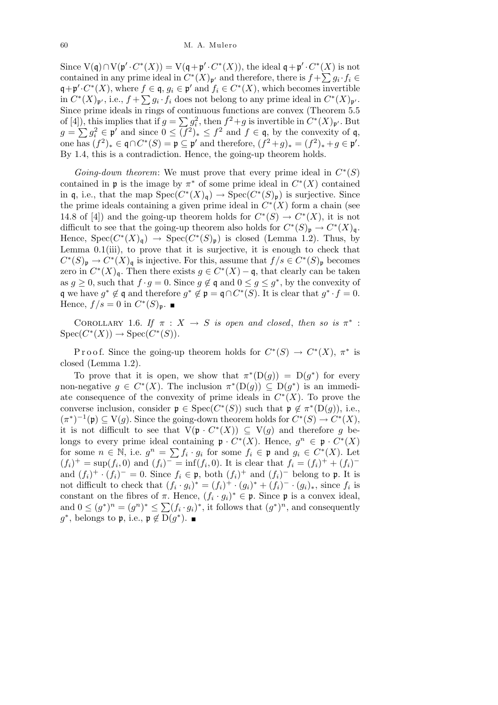Since  $V(q) \cap V(p' \cdot C^*(X)) = V(q + p' \cdot C^*(X))$ , the ideal  $q + p' \cdot C^*(X)$  is not since  $\mathbf{v}(\mathbf{q}) \cap \mathbf{v}(\mathbf{p} \cdot \mathbf{C} \mathbf{a}) = \mathbf{v}(\mathbf{q} + \mathbf{p} \cdot \mathbf{C} \mathbf{a})$ , the ideal  $\mathbf{q} + \mathbf{p} \cdot \mathbf{C} \mathbf{a}$  is not contained in any prime ideal in  $C^*(X)_{\mathbf{p}'}$  and therefore, there is  $f + \sum g_i \cdot f_i \in$  $\mathfrak{q} + \mathfrak{p}' \cdot C^*(X)$ , where  $f \in \mathfrak{q}, g_i \in \mathfrak{p}'$  and  $f_i \in C^*(X)$ , which becomes invertible  $g_i \in V$  (*X*), where  $j \in \mathfrak{q}$ ,  $g_i \in \mathfrak{p}$  and  $j_i \in V$  (*X*), which becomes invertible in  $C^*(X)_{\mathfrak{p}'}$ , i.e.,  $f + \sum g_i \cdot f_i$  does not belong to any prime ideal in  $C^*(X)_{\mathfrak{p}'}$ . Since prime ideals in rings of continuous functions are convex (Theorem 5.5 since prime ideals in rings of continuous functions are convex (1 neorem 3.3)<br>of [4]), this implies that if  $g = \sum g_i^2$ , then  $f^2 + g$  is invertible in  $C^*(X)_{\mathfrak{p}'}$ . But *g* =  $\sum g_i^2$  ∈ *p*<sup>*'*</sup> and since  $0 \le (f^2)_* \le f^2$  and  $f \in \mathfrak{q}$ , by the convexity of  $\mathfrak{q}$ , one has  $(f^2)_*$  ∈  $\mathfrak{q} \cap C^*(S) = \mathfrak{p} \subseteq \mathfrak{p}'$  and therefore,  $(f^2 + g)_* = (f^2)_* + g \in \mathfrak{p}'.$ By 1.4, this is a contradiction. Hence, the going-up theorem holds.

*Going-down theorem:* We must prove that every prime ideal in  $C^*(S)$ contained in  $\mathfrak{p}$  is the image by  $\pi^*$  of some prime ideal in  $C^*(X)$  contained in q, i.e., that the map  $Spec(C^*(X)_{\mathfrak{q}}) \to Spec(C^*(S)_{\mathfrak{p}})$  is surjective. Since the prime ideals containing a given prime ideal in  $C^*(X)$  form a chain (see 14.8 of [4]) and the going-up theorem holds for  $C^*(S) \to C^*(X)$ , it is not difficult to see that the going-up theorem also holds for  $C^*(S)_{\mathfrak{p}} \to C^*(X)_{\mathfrak{q}}$ . Hence,  $Spec(C^*(X)_{\mathfrak{q}}) \rightarrow Spec(C^*(S)_{\mathfrak{p}})$  is closed (Lemma 1.2). Thus, by Lemma  $0.1(iii)$ , to prove that it is surjective, it is enough to check that  $C^*(S)_{\mathfrak{p}} \to C^*(X)_{\mathfrak{q}}$  is injective. For this, assume that  $f/s \in C^*(S)_{\mathfrak{p}}$  becomes zero in  $C^*(X)_{\mathfrak{q}}$ . Then there exists  $g \in C^*(X) - \mathfrak{q}$ , that clearly can be taken as  $g \geq 0$ , such that  $f \cdot g = 0$ . Since  $g \notin \mathfrak{q}$  and  $0 \leq g \leq g^*$ , by the convexity of **q** we have  $g^* \notin \mathfrak{q}$  and therefore  $g^* \notin \mathfrak{p} = \mathfrak{q} \cap C^*(S)$ . It is clear that  $g^* \cdot f = 0$ . Hence,  $f/s = 0$  in  $C^*(S)_{\mathfrak{p}}$ .

COROLLARY 1.6. *If*  $\pi$  :  $X \rightarrow S$  *is open and closed, then so is*  $\pi^*$  :  $Spec(C^*(X)) \to Spec(C^*(S)).$ 

Proof. Since the going-up theorem holds for  $C^*(S) \to C^*(X)$ ,  $\pi^*$  is closed (Lemma 1.2).

To prove that it is open, we show that  $\pi^*(D(g)) = D(g^*)$  for every non-negative  $g \in C^*(X)$ . The inclusion  $\pi^*(D(g)) \subseteq D(g^*)$  is an immediate consequence of the convexity of prime ideals in  $C^*(X)$ . To prove the converse inclusion, consider  $\mathfrak{p} \in \text{Spec}(C^*(S))$  such that  $\mathfrak{p} \notin \pi^*(D(g))$ , i.e.,  $(\pi^*)^{-1}(\mathfrak{p}) \subseteq V(g)$ . Since the going-down theorem holds for  $C^*(S) \to C^*(X)$ , it is not difficult to see that  $V(p \cdot C^*(X)) \subseteq V(g)$  and therefore *g* belongs to every prime ideal containing  $\mathfrak{p} \cdot C^*(X)$ . Hence,  $g^n \in \mathfrak{p} \cdot C^*(X)$ for some  $n \in \mathbb{N}$ , i.e.  $g^n = \sum f_i \cdot g_i$  for some  $f_i \in \mathfrak{p}$  and  $g_i \in C^*(X)$ . Let  $(f_i)^+ = \sup(f_i, 0)$  and  $(f_i)^- = \inf(f_i, 0)$ . It is clear that  $f_i = (f_i)^+ + (f_i)^$ and  $(f_i)^+ \cdot (f_i)^- = 0$ . Since  $f_i \in \mathfrak{p}$ , both  $(f_i)^+$  and  $(f_i)^-$  belong to  $\mathfrak{p}$ . It is not difficult to check that  $(f_i \cdot g_i)^* = (f_i)^+ \cdot (g_i)^* + (f_i)^- \cdot (g_i)_*,$  since  $f_i$  is constant on the fibres of  $\pi$ . Hence,  $(f_i \cdot g_i)^* \in \mathfrak{p}$ . Since  $\mathfrak{p}$  is a convex ideal, constant on the integer of  $\pi$ . Hence,  $(j_i \cdot g_i) \in \mathfrak{p}$ . Since  $\mathfrak{p}$  is a convex ideal, and  $0 \le (g^*)^n = (g^n)^* \le \sum (f_i \cdot g_i)^*$ , it follows that  $(g^*)^n$ , and consequently  $g^*$ , belongs to **p**, i.e.,  $\mathfrak{p} \notin D(g^*)$ .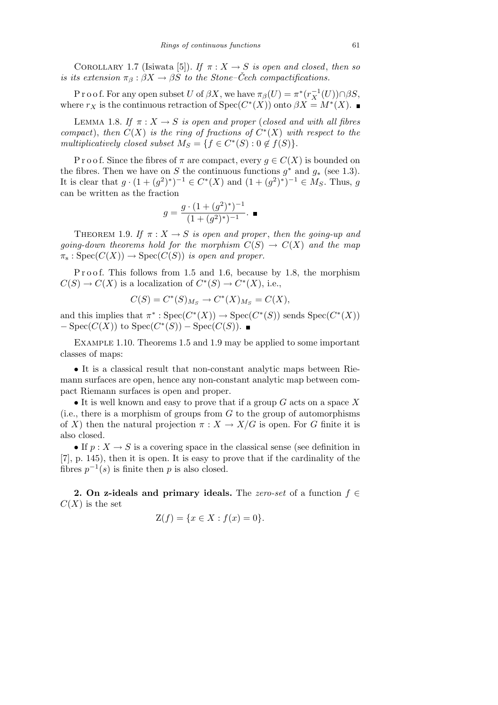COROLLARY 1.7 (Isiwata [5]). *If*  $\pi : X \to S$  *is open and closed, then so is its extension*  $\pi_{\beta}: \beta X \to \beta S$  *to the Stone–Cech compactifications.* 

 $P \text{ r o o f. For any open subset } U \text{ of } \beta X, \text{ we have } \pi_{\beta}(U) = \pi^*(r_X^{-1}(U)) \cap \beta S,$ where  $r_X$  is the continuous retraction of  $Spec(C^*(X))$  onto  $\beta X = M^*(X)$ .

LEMMA 1.8. *If*  $\pi: X \to S$  *is open and proper* (*closed and with all fibres compact*), *then*  $C(X)$  *is the ring of fractions of*  $C^*(X)$  *with respect to the multiplicatively closed subset*  $M_S = \{f \in C^*(S) : 0 \notin f(S)\}.$ 

P r o o f. Since the fibres of  $\pi$  are compact, every  $g \in C(X)$  is bounded on the fibres. Then we have on *S* the continuous functions  $g^*$  and  $g_*$  (see 1.3). It is clear that  $g \cdot (1 + (g^2)^*)^{-1} \in C^*(X)$  and  $(1 + (g^2)^*)^{-1} \in M_S$ . Thus, *g* can be written as the fraction

$$
g = \frac{g \cdot (1 + (g^2)^*)^{-1}}{(1 + (g^2)^*)^{-1}}.
$$

THEOREM 1.9. *If*  $\pi: X \to S$  *is open and proper*, *then the going-up and going-down theorems hold for the morphism*  $C(S) \rightarrow C(X)$  *and the map*  $\pi_s : \text{Spec}(C(X)) \to \text{Spec}(C(S))$  *is open and proper.* 

P r o o f. This follows from 1.5 and 1.6, because by 1.8, the morphism  $C(S) \to C(X)$  is a localization of  $C^*(S) \to C^*(X)$ , i.e.,

$$
C(S) = C^*(S)_{M_S} \to C^*(X)_{M_S} = C(X),
$$

and this implies that  $\pi^*$ : Spec( $C^*(X)$ )  $\rightarrow$  Spec( $C^*(S)$ ) sends Spec( $C^*(X)$ )  $-\text{Spec}(C(X))$  to  $\text{Spec}(C^*(S)) - \text{Spec}(C(S)).$ 

Example 1.10. Theorems 1.5 and 1.9 may be applied to some important classes of maps:

*•* It is a classical result that non-constant analytic maps between Riemann surfaces are open, hence any non-constant analytic map between compact Riemann surfaces is open and proper.

*•* It is well known and easy to prove that if a group *G* acts on a space *X* (i.e., there is a morphism of groups from *G* to the group of automorphisms of *X*) then the natural projection  $\pi : X \to X/G$  is open. For *G* finite it is also closed.

• If  $p: X \to S$  is a covering space in the classical sense (see definition in [7], p. 145), then it is open. It is easy to prove that if the cardinality of the fibres  $p^{-1}(s)$  is finite then *p* is also closed.

**2. On z-ideals and primary ideals.** The *zero-set* of a function *f ∈*  $C(X)$  is the set

$$
Z(f) = \{ x \in X : f(x) = 0 \}.
$$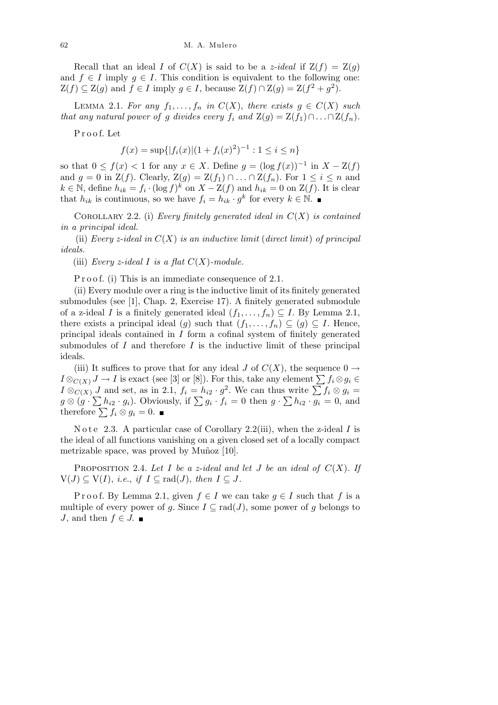Recall that an ideal *I* of  $C(X)$  is said to be a *z*-ideal if  $Z(f) = Z(g)$ and  $f \in I$  imply  $g \in I$ . This condition is equivalent to the following one:  $Z(f) \subseteq Z(g)$  and  $f \in I$  imply  $g \in I$ , because  $Z(f) \cap Z(g) = Z(f^2 + g^2)$ .

LEMMA 2.1. For any  $f_1, \ldots, f_n$  in  $C(X)$ , there exists  $g \in C(X)$  such *that any natural power of g divides every*  $f_i$  *and*  $Z(g) = Z(f_1) \cap \ldots \cap Z(f_n)$ *.* 

P r o o f. Let

$$
f(x) = \sup\{|f_i(x)|(1 + f_i(x)^2)^{-1} : 1 \le i \le n\}
$$

so that  $0 \le f(x) < 1$  for any  $x \in X$ . Define  $g = (\log f(x))^{-1}$  in  $X - \mathbb{Z}(f)$ and  $g = 0$  in  $\mathbb{Z}(f)$ . Clearly,  $\mathbb{Z}(g) = \mathbb{Z}(f_1) \cap \ldots \cap \mathbb{Z}(f_n)$ . For  $1 \leq i \leq n$  and  $k \in \mathbb{N}$ , define  $h_{ik} = f_i \cdot (\log f)^k$  on  $X - \mathbb{Z}(f)$  and  $h_{ik} = 0$  on  $\mathbb{Z}(f)$ . It is clear that  $h_{ik}$  is continuous, so we have  $f_i = h_{ik} \cdot g^k$  for every  $k \in \mathbb{N}$ .

COROLLARY 2.2. (i) *Every finitely generated ideal in*  $C(X)$  *is contained in a principal ideal.*

(ii) *Every z-ideal in C*(*X*) *is an inductive limit* (*direct limit*) *of principal ideals.*

(iii) *Every z-ideal I is a flat*  $C(X)$ *-module.* 

P r o o f. (i) This is an immediate consequence of 2.1.

(ii) Every module over a ring is the inductive limit of its finitely generated submodules (see [1], Chap. 2, Exercise 17). A finitely generated submodule of a z-ideal *I* is a finitely generated ideal  $(f_1, \ldots, f_n) \subseteq I$ . By Lemma 2.1, there exists a principal ideal (*g*) such that  $(f_1, \ldots, f_n) \subseteq (g) \subseteq I$ . Hence, principal ideals contained in *I* form a cofinal system of finitely generated submodules of *I* and therefore *I* is the inductive limit of these principal ideals.

(iii) It suffices to prove that for any ideal *J* of  $C(X)$ , the sequence  $0 \rightarrow$  $I \otimes_{C(X)} J \to I$  is exact (see [3] or [8]). For this, take any element  $\sum f_i \otimes g_i \in$  $I \otimes_{C(X)} J \to I$  is exact (see [5] or [6]). For this, take any element  $\sum f_i \otimes g_i \in I \otimes_{C(X)} J$  and set, as in 2.1,  $f_i = h_{i2} \cdot g^2$ . We can thus write  $\sum f_i \otimes g_i =$  $g \otimes (g \cdot \sum h_{i2} \cdot g_i)$ . Obviously, if  $\sum g_i \cdot f_i = 0$  then  $g \cdot \sum h_{i2} \cdot g_i = 0$ , and therefore  $\sum f_i \otimes g_i = 0$ .

N o t e 2.3. A particular case of Corollary 2.2(iii), when the z-ideal *I* is the ideal of all functions vanishing on a given closed set of a locally compact metrizable space, was proved by Muñoz [10].

PROPOSITION 2.4. Let  $I$  be a z-ideal and let  $J$  be an ideal of  $C(X)$ . If  $V(J) \subseteq V(I)$ , *i.e.*, *if*  $I \subseteq rad(J)$ , *then*  $I \subseteq J$ *.* 

Proof. By Lemma 2.1, given  $f \in I$  we can take  $g \in I$  such that  $f$  is a multiple of every power of *g*. Since  $I \subseteq rad(J)$ , some power of *g* belongs to *J*, and then  $f \in J$ . ■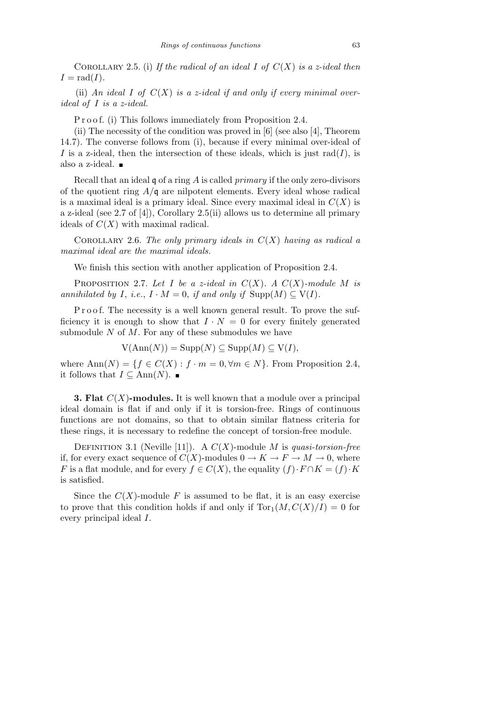COROLLARY 2.5. (i) If the radical of an ideal I of  $C(X)$  is a z-ideal then  $I = rad(I)$ .

(ii) An ideal  $I$  of  $C(X)$  is a z-ideal if and only if every minimal over*ideal of I is a z-ideal.*

P r o o f. (i) This follows immediately from Proposition 2.4.

(ii) The necessity of the condition was proved in [6] (see also [4], Theorem 14.7). The converse follows from (i), because if every minimal over-ideal of *I* is a z-ideal, then the intersection of these ideals, which is just  $rad(I)$ , is also a z-ideal.

Recall that an ideal q of a ring *A* is called *primary* if the only zero-divisors of the quotient ring *A/*q are nilpotent elements. Every ideal whose radical is a maximal ideal is a primary ideal. Since every maximal ideal in  $C(X)$  is a z-ideal (see 2.7 of [4]), Corollary 2.5(ii) allows us to determine all primary ideals of *C*(*X*) with maximal radical.

COROLLARY 2.6. The only primary ideals in  $C(X)$  having as radical a *maximal ideal are the maximal ideals.*

We finish this section with another application of Proposition 2.4.

PROPOSITION 2.7. Let *I* be a *z*-ideal in  $C(X)$ . A  $C(X)$ -module *M* is *annihilated by I*, *i.e.*,  $I \cdot M = 0$ , *if and only if*  $\text{Supp}(M) \subseteq \text{V}(I)$ *.* 

P r o o f. The necessity is a well known general result. To prove the sufficiency it is enough to show that  $I \cdot N = 0$  for every finitely generated submodule *N* of *M*. For any of these submodules we have

 $V(\text{Ann}(N)) = \text{Supp}(N) \subseteq \text{Supp}(M) \subseteq V(I)$ ,

where  $\text{Ann}(N) = \{f \in C(X) : f \cdot m = 0, \forall m \in N\}$ . From Proposition 2.4, it follows that *I* ⊆ Ann(*N*). ■

**3. Flat** *C*(*X*)**-modules.** It is well known that a module over a principal ideal domain is flat if and only if it is torsion-free. Rings of continuous functions are not domains, so that to obtain similar flatness criteria for these rings, it is necessary to redefine the concept of torsion-free module.

Definition 3.1 (Neville [11]). A *C*(*X*)-module *M* is *quasi-torsion-free* if, for every exact sequence of  $C(X)$ -modules  $0 \to K \to F \to M \to 0$ , where *F* is a flat module, and for every  $f \in C(X)$ , the equality  $(f) \cdot F \cap K = (f) \cdot K$ is satisfied.

Since the  $C(X)$ -module F is assumed to be flat, it is an easy exercise to prove that this condition holds if and only if  $Tor_1(M, C(X)/I) = 0$  for every principal ideal *I*.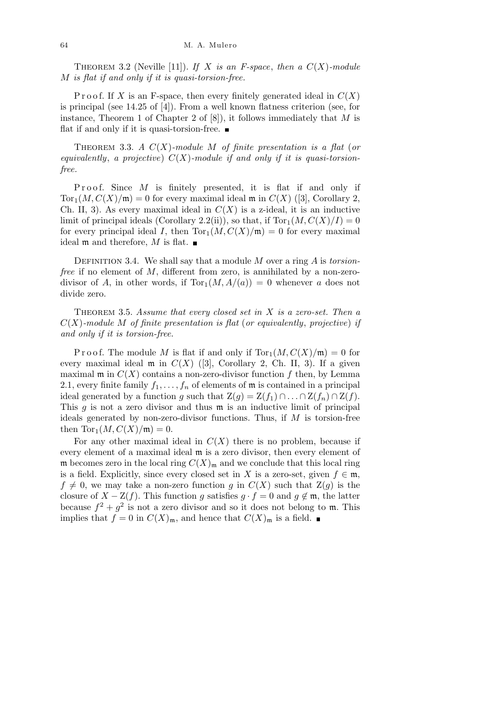THEOREM 3.2 (Neville [11]). If X is an F-space, then a  $C(X)$ -module *M is flat if and only if it is quasi-torsion-free.*

Proof. If *X* is an F-space, then every finitely generated ideal in  $C(X)$ is principal (see 14.25 of [4]). From a well known flatness criterion (see, for instance, Theorem 1 of Chapter 2 of [8]), it follows immediately that *M* is flat if and only if it is quasi-torsion-free.  $\blacksquare$ 

THEOREM 3.3. A  $C(X)$ -module M of finite presentation is a flat (or *equivalently, a projective*)  $C(X)$ -module if and only if it is quasi-torsion*free.*

Proof. Since M is finitely presented, it is flat if and only if Tor<sub>1</sub> $(M, C(X)/m) = 0$  for every maximal ideal m in  $C(X)$  ([3], Corollary 2, Ch. II, 3). As every maximal ideal in  $C(X)$  is a z-ideal, it is an inductive limit of principal ideals (Corollary 2.2(ii)), so that, if  $Tor_1(M, C(X)/I) = 0$ for every principal ideal *I*, then  $Tor_1(M, C(X)/m) = 0$  for every maximal ideal  $m$  and therefore, M is flat.  $\blacksquare$ 

DEFINITION 3.4. We shall say that a module *M* over a ring *A* is *torsionfree* if no element of *M*, different from zero, is annihilated by a non-zerodivisor of *A*, in other words, if  $Tor_1(M, A/(a)) = 0$  whenever *a* does not divide zero.

Theorem 3.5. *Assume that every closed set in X is a zero-set. Then a C*(*X*)*-module M of finite presentation is flat* (*or equivalently*, *projective*) *if and only if it is torsion-free.*

Proof. The module *M* is flat if and only if  $Tor_1(M, C(X)/m) = 0$  for every maximal ideal  $\mathfrak{m}$  in  $C(X)$  ([3], Corollary 2, Ch. II, 3). If a given maximal  $\mathfrak{m}$  in  $C(X)$  contains a non-zero-divisor function  $f$  then, by Lemma 2.1, every finite family  $f_1, \ldots, f_n$  of elements of  $\mathfrak m$  is contained in a principal ideal generated by a function *g* such that  $Z(g) = Z(f_1) \cap ... \cap Z(f_n) \cap Z(f)$ . This  $g$  is not a zero divisor and thus  $m$  is an inductive limit of principal ideals generated by non-zero-divisor functions. Thus, if *M* is torsion-free then  $Tor_1(M, C(X)/m) = 0$ .

For any other maximal ideal in  $C(X)$  there is no problem, because if every element of a maximal ideal m is a zero divisor, then every element of m becomes zero in the local ring  $C(X)$ <sub>m</sub> and we conclude that this local ring is a field. Explicitly, since every closed set in *X* is a zero-set, given  $f \in \mathfrak{m}$ ,  $f \neq 0$ , we may take a non-zero function *g* in  $C(X)$  such that  $Z(g)$  is the closure of *X* − Z(*f*). This function *g* satisfies  $g \cdot f = 0$  and  $g \notin \mathfrak{m}$ , the latter because  $f^2 + g^2$  is not a zero divisor and so it does not belong to m. This implies that  $f = 0$  in  $C(X)_{\mathfrak{m}}$ , and hence that  $C(X)_{\mathfrak{m}}$  is a field.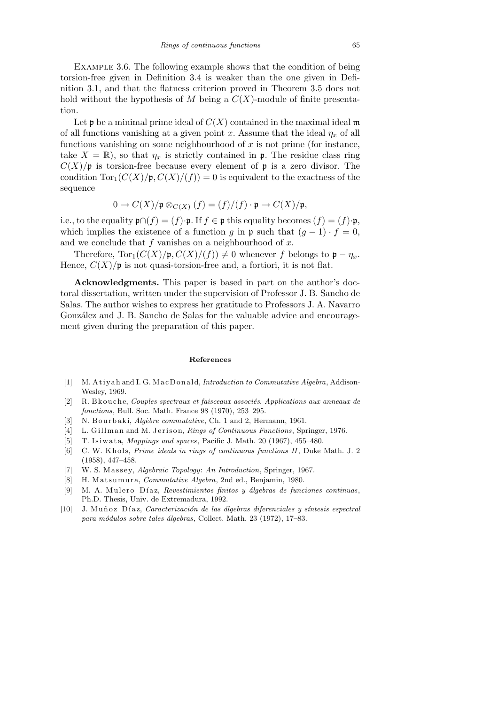Example 3.6. The following example shows that the condition of being torsion-free given in Definition 3.4 is weaker than the one given in Definition 3.1, and that the flatness criterion proved in Theorem 3.5 does not hold without the hypothesis of *M* being a *C*(*X*)-module of finite presentation.

Let  $\mathfrak p$  be a minimal prime ideal of  $C(X)$  contained in the maximal ideal  $\mathfrak m$ of all functions vanishing at a given point *x*. Assume that the ideal  $\eta_x$  of all functions vanishing on some neighbourhood of *x* is not prime (for instance, take  $X = \mathbb{R}$ , so that  $\eta_x$  is strictly contained in p. The residue class ring  $C(X)/p$  is torsion-free because every element of p is a zero divisor. The condition  $\text{Tor}_1(C(X)/\mathfrak{p}, C(X)/(f)) = 0$  is equivalent to the exactness of the sequence

$$
0 \to C(X)/\mathfrak{p} \otimes_{C(X)} (f) = (f)/(f) \cdot \mathfrak{p} \to C(X)/\mathfrak{p},
$$

i.e., to the equality  $\mathfrak{p} \cap (f) = (f) \cdot \mathfrak{p}$ . If  $f \in \mathfrak{p}$  this equality becomes  $(f) = (f) \cdot \mathfrak{p}$ , which implies the existence of a function *g* in **p** such that  $(g-1) \cdot f = 0$ , and we conclude that *f* vanishes on a neighbourhood of *x*.

Therefore,  $\text{Tor}_1(C(X)/\mathfrak{p}, C(X)/(f)) \neq 0$  whenever *f* belongs to  $\mathfrak{p} - \eta_x$ . Hence,  $C(X)/p$  is not quasi-torsion-free and, a fortiori, it is not flat.

**Acknowledgments.** This paper is based in part on the author's doctoral dissertation, written under the supervision of Professor J. B. Sancho de Salas. The author wishes to express her gratitude to Professors J. A. Navarro González and J. B. Sancho de Salas for the valuable advice and encouragement given during the preparation of this paper.

## **References**

- [1] M. A tivah and I. G. M acDonald, *Introduction to Commutative Algebra*, Addison-Wesley, 1969.
- [2] R. B k ouche, *Couples spectraux et faisceaux associés. Applications aux anneaux de fonctions*, Bull. Soc. Math. France 98 (1970), 253–295.
- [3] N. Bourbaki, *Algèbre commutative*, Ch. 1 and 2, Hermann, 1961.
- [4] L. Gillman and M. Jerison, *Rings of Continuous Functions*, Springer, 1976.
- [5] T. I siwata, *Mappings and spaces*, Pacific J. Math. 20 (1967), 455–480.
- [6] C. W. Khols, *Prime ideals in rings of continuous functions II*, Duke Math. J. 2 (1958), 447–458.
- [7] W. S. Massey, *Algebraic Topology: An Introduction*, Springer, 1967.
- [8] H. Matsumura, *Commutative Algebra*, 2nd ed., Benjamin, 1980.
- [9] M. A. Mulero Díaz, *Revestimientos finitos y álgebras de funciones continuas*, Ph.D. Thesis, Univ. de Extremadura, 1992.
- [10] J. M u ˜n o z D´ı a z, *Caracterizaci´on de las ´algebras diferenciales y s´ıntesis espectral para m´odulos sobre tales ´algebras*, Collect. Math. 23 (1972), 17–83.